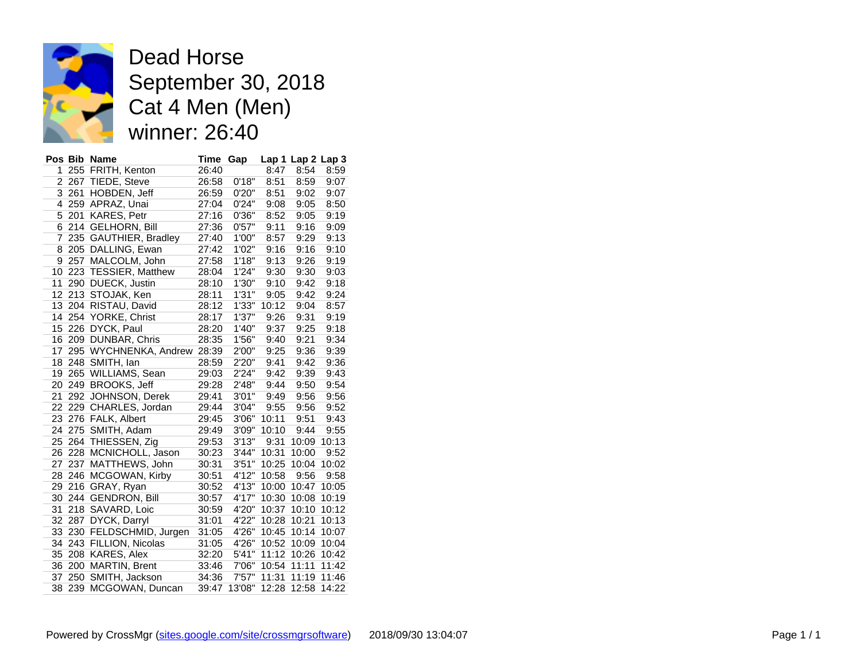

Dead Horse September 30, 2018 Cat 4 Men (Men) winner: 26:40

|    |         | Pos Bib Name                | <b>Time</b> | Gap    |       | Lap 1 Lap 2 Lap 3 |       |
|----|---------|-----------------------------|-------------|--------|-------|-------------------|-------|
| 1  |         | 255 FRITH, Kenton           | 26:40       |        | 8:47  | 8:54              | 8:59  |
|    |         | 2 267 TIEDE, Steve          | 26:58       | 0'18"  | 8:51  | 8:59              | 9:07  |
|    | 3 2 6 1 | HOBDEN, Jeff                | 26:59       | 0'20"  | 8:51  | 9:02              | 9:07  |
| 4  |         | 259 APRAZ, Unai             | 27:04       | 0'24"  | 9:08  | 9:05              | 8:50  |
|    | 5 201   | <b>KARES, Petr</b>          | 27:16       | 0'36"  | 8:52  | 9:05              | 9:19  |
| 6  |         | 214 GELHORN, Bill           | 27:36       | 0'57"  | 9:11  | 9:16              | 9:09  |
| 7  |         | 235 GAUTHIER, Bradley       | 27:40       | 1'00"  | 8:57  | 9:29              | 9:13  |
| 8  |         | 205 DALLING, Ewan           | 27:42       | 1'02"  | 9:16  | 9:16              | 9:10  |
| 9  |         | 257 MALCOLM, John           | 27:58       | 1'18"  | 9:13  | 9:26              | 9:19  |
| 10 |         | 223 TESSIER, Matthew        | 28:04       | 1'24"  | 9:30  | 9:30              | 9:03  |
| 11 |         | 290 DUECK, Justin           | 28:10       | 1'30"  | 9:10  | 9:42              | 9:18  |
|    |         | 12 213 STOJAK, Ken          | 28:11       | 1'31"  | 9:05  | 9:42              | 9:24  |
| 13 |         | 204 RISTAU, David           | 28:12       | 1'33"  | 10:12 | 9:04              | 8:57  |
| 14 |         | 254 YORKE, Christ           | 28:17       | 1'37"  | 9:26  | 9:31              | 9:19  |
| 15 |         | 226 DYCK, Paul              | 28:20       | 1'40"  | 9:37  | 9:25              | 9:18  |
|    |         | 16 209 DUNBAR, Chris        | 28:35       | 1'56"  | 9:40  | 9:21              | 9:34  |
| 17 |         | 295 WYCHNENKA, Andrew 28:39 |             | 2'00"  | 9:25  | 9:36              | 9:39  |
|    |         | 18 248 SMITH, Ian           | 28:59       | 2'20"  | 9:41  | 9:42              | 9:36  |
|    |         | 19 265 WILLIAMS, Sean       | 29:03       | 2'24"  | 9:42  | 9:39              | 9:43  |
| 20 |         | 249 BROOKS, Jeff            | 29:28       | 2'48"  | 9:44  | 9:50              | 9:54  |
| 21 | 292     | JOHNSON, Derek              | 29:41       | 3'01"  | 9:49  | 9:56              | 9:56  |
|    |         | 22 229 CHARLES, Jordan      | 29:44       | 3'04"  | 9:55  | 9:56              | 9:52  |
| 23 |         | 276 FALK, Albert            | 29:45       | 3'06"  | 10:11 | 9:51              | 9:43  |
| 24 |         | 275 SMITH, Adam             | 29:49       | 3'09"  | 10:10 | 9:44              | 9:55  |
|    |         | 25 264 THIESSEN, Zig        | 29:53       | 3'13"  | 9:31  | 10:09             | 10:13 |
|    |         | 26 228 MCNICHOLL, Jason     | 30:23       | 3'44"  | 10:31 | 10:00             | 9:52  |
| 27 |         | 237 MATTHEWS, John          | 30:31       | 3'51"  | 10:25 | 10:04             | 10:02 |
| 28 |         | 246 MCGOWAN, Kirby          | 30:51       | 4'12"  | 10:58 | 9:56              | 9:58  |
| 29 |         | 216 GRAY, Ryan              | 30:52       | 4'13"  | 10:00 | 10:47             | 10:05 |
| 30 |         | 244 GENDRON, Bill           | 30:57       | 4'17"  | 10:30 | 10:08             | 10:19 |
| 31 |         | 218 SAVARD, Loic            | 30:59       | 4'20"  | 10:37 | 10:10             | 10:12 |
| 32 | 287     | DYCK, Darryl                | 31:01       | 4'22"  | 10:28 | 10:21             | 10:13 |
| 33 |         | 230 FELDSCHMID, Jurgen      | 31:05       | 4'26"  | 10:45 | 10:14             | 10:07 |
| 34 |         | 243 FILLION, Nicolas        | 31:05       | 4'26"  | 10:52 | 10:09             | 10:04 |
|    |         | 35 208 KARES, Alex          | 32:20       | 5'41"  | 11:12 | 10:26             | 10:42 |
|    |         | 36 200 MARTIN, Brent        | 33:46       | 7'06"  | 10:54 | 11:11             | 11:42 |
| 37 |         | 250 SMITH, Jackson          | 34:36       | 7'57"  | 11:31 | 11:19             | 11:46 |
|    | 38 239  | MCGOWAN, Duncan             | 39:47       | 13'08" | 12:28 | 12:58             | 14:22 |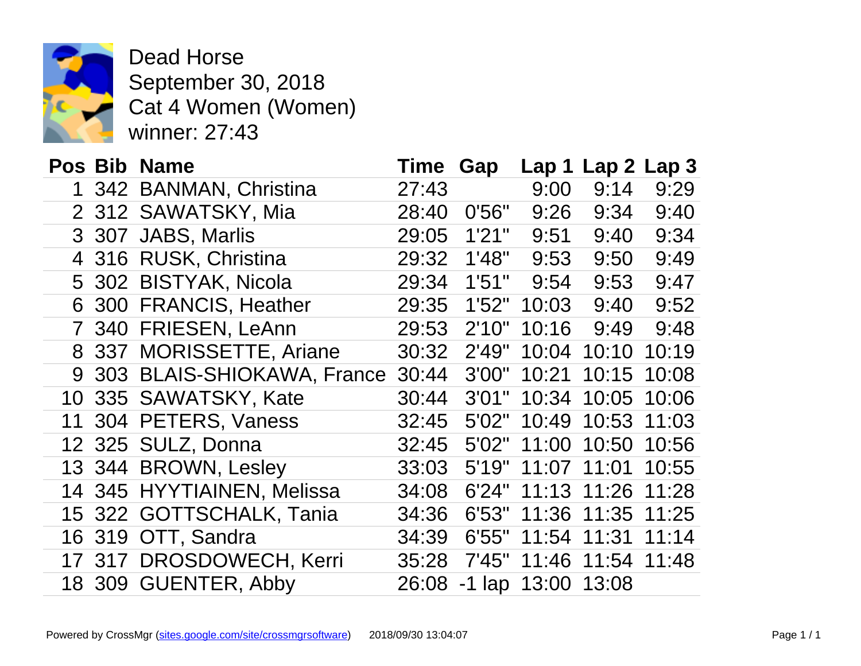

Dead Horse September 30, 2018 Cat 4 Women (Women) winner: 27:43

|              | Pos Bib Name               | <b>Time</b> | Gap    |                  | Lap 1 Lap 2 La |    |
|--------------|----------------------------|-------------|--------|------------------|----------------|----|
| 1            | 342 BANMAN, Christina      | 27:43       |        | 9:00             | 9:14           | 9  |
|              | 2 312 SAWATSKY, Mia        | 28:40       | 0'56"  | 9:26             | 9:34           | 9  |
|              | 3 307 JABS, Marlis         | 29:05       | 1'21"  | 9:51             | 9:40           | 9  |
|              | 4 316 RUSK, Christina      | 29:32       | 1'48"  | 9:53             | 9:50           | 9  |
|              | 5 302 BISTYAK, Nicola      | 29:34       | 1'51"  | 9:54             | 9:53           | 9  |
|              | 6 300 FRANCIS, Heather     | 29:35       | 1'52"  | 10:03            | 9:40           | 9  |
| $\mathbf{7}$ | 340 FRIESEN, LeAnn         | 29:53       | 2'10"  | 10:16            | 9:49           | 9  |
| 8            | 337 MORISSETTE, Ariane     | 30:32       | 2'49"  | 10:04            | 10:10          | 10 |
| 9            | 303 BLAIS-SHIOKAWA, France | 30:44       | 3'00"  | 10:21            | 10:15          | 10 |
|              | 10 335 SAWATSKY, Kate      | 30:44       | 3'01"  | 10:34            | 10:05          | 10 |
| 11           | 304 PETERS, Vaness         | 32:45       | 5'02"  | 10:49            | 10:53          | 11 |
|              | 12 325 SULZ, Donna         | 32:45       | 5'02"  | 11:00            | 10:50          | 10 |
|              | 13 344 BROWN, Lesley       | 33:03       | 5'19'' |                  | 11:07 11:01    | 10 |
|              | 14 345 HYYTIAINEN, Melissa | 34:08       | 6'24"  | 11:13            | 11:26          | 11 |
|              | 15 322 GOTTSCHALK, Tania   | 34:36       | 6'53"  | 11:36            | 11:35          | 11 |
|              | 16 319 OTT, Sandra         | 34:39       | 6'55"  | 11:54            | 11:31          | 11 |
|              | 17 317 DROSDOWECH, Kerri   | 35:28       | 7'45"  | 11:46            | 11:54          | 11 |
|              | 18 309 GUENTER, Abby       | 26:08       |        | $-1$ lap $13:00$ | 13:08          |    |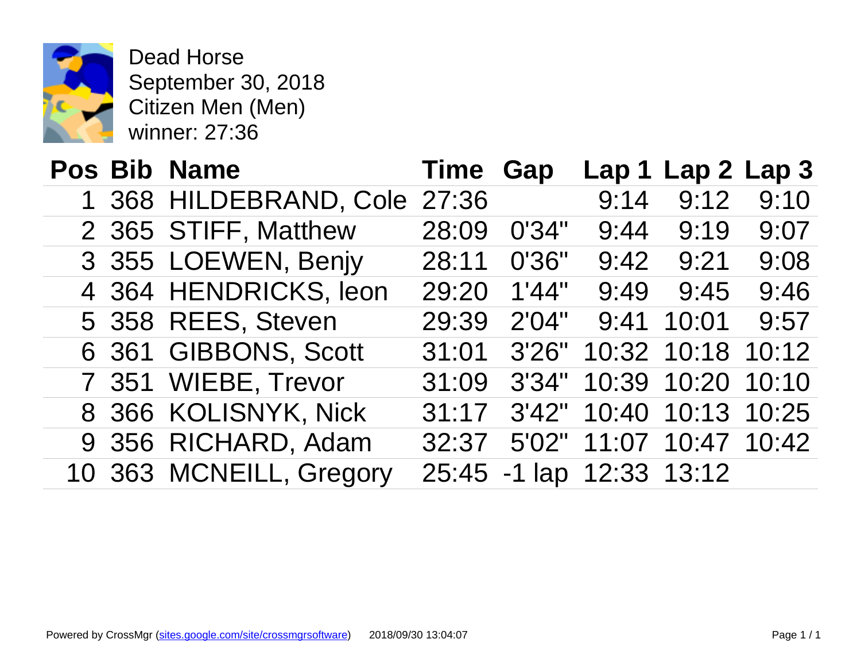

Dead Horse September 30, 2018 Citizen Men (Men) winner: 27:36

|  | Pos Bib Name            | <b>Time Gap</b> |                    | Lap 1       |
|--|-------------------------|-----------------|--------------------|-------------|
|  | 1 368 HILDEBRAND, Cole  | 27:36           |                    | 9:14        |
|  | 2 365 STIFF, Matthew    | 28:09           | 0'34"              | 9:44        |
|  | 3 355 LOEWEN, Benjy     | 28:11           | 0'36"              | 9:42        |
|  | 4 364 HENDRICKS, leon   | 29:20           | 1'44"              | 9:49        |
|  | 5 358 REES, Steven      | 29:39           | 2'04"              | 9:41        |
|  | 6 361 GIBBONS, Scott    | 31:01           | 3'26"              | 10:32       |
|  | 7 351 WIEBE, Trevor     | 31:09           | 3'34"              | 10:39       |
|  | 8 366 KOLISNYK, Nick    | 31:17           | 3'42"              | 10:40       |
|  | 9 356 RICHARD, Adam     | 32:37           |                    | 5'02" 11:07 |
|  | 10 363 MCNEILL, Gregory |                 | 25:45 -1 lap 12:33 |             |